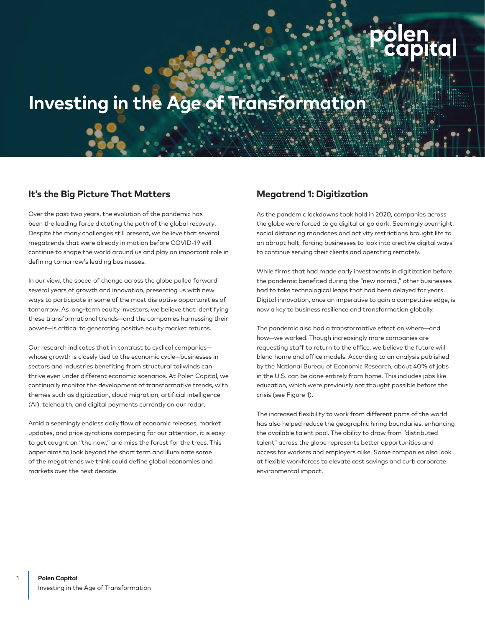# **Investing in the Age of Transformation**

### **It's the Big Picture That Matters**

Over the past two years, the evolution of the pandemic has been the leading force dictating the path of the global recovery. Despite the many challenges still present, we believe that several megatrends that were already in motion before COVID-19 will continue to shape the world around us and play an important role in defining tomorrow's leading businesses.

In our view, the speed of change across the globe pulled forward several years of growth and innovation, presenting us with new ways to participate in some of the most disruptive opportunities of tomorrow. As long-term equity investors, we believe that identifying these transformational trends—and the companies harnessing their power—is critical to generating positive equity market returns.

Our research indicates that in contrast to cyclical companies whose growth is closely tied to the economic cycle—businesses in sectors and industries benefiting from structural tailwinds can thrive even under different economic scenarios. At Polen Capital, we continually monitor the development of transformative trends, with themes such as digitization, cloud migration, artificial intelligence (AI), telehealth, and digital payments currently on our radar.

Amid a seemingly endless daily flow of economic releases, market updates, and price gyrations competing for our attention, it is easy to get caught on "the now," and miss the forest for the trees. This paper aims to look beyond the short term and illuminate some of the megatrends we think could define global economies and markets over the next decade.

### **Megatrend 1: Digitization**

As the pandemic lockdowns took hold in 2020, companies across the globe were forced to go digital or go dark. Seemingly overnight, social distancing mandates and activity restrictions brought life to an abrupt halt, forcing businesses to look into creative digital ways to continue serving their clients and operating remotely.

While firms that had made early investments in digitization before the pandemic benefited during the "new normal," other businesses had to take technological leaps that had been delayed for years. Digital innovation, once an imperative to gain a competitive edge, is now a key to business resilience and transformation globally.

The pandemic also had a transformative effect on where—and how—we worked. Though increasingly more companies are requesting staff to return to the office, we believe the future will blend home and office models. According to an analysis published by the National Bureau of Economic Research, about 40% of jobs in the U.S. can be done entirely from home. This includes jobs like education, which were previously not thought possible before the crisis (see Figure 1).

The increased flexibility to work from different parts of the world has also helped reduce the geographic hiring boundaries, enhancing the available talent pool. The ability to draw from "distributed talent" across the globe represents better opportunities and access for workers and employers alike. Some companies also look at flexible workforces to elevate cost savings and curb corporate environmental impact.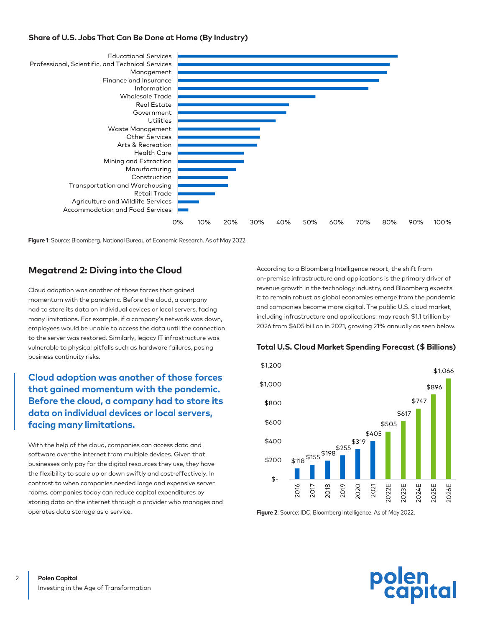#### **Share of U.S. Jobs That Can Be Done at Home (By Industry)**



**Figure 1**: Source: Bloomberg. National Bureau of Economic Research. As of May 2022.

### **Megatrend 2: Diving into the Cloud**

Cloud adoption was another of those forces that gained momentum with the pandemic. Before the cloud, a company had to store its data on individual devices or local servers, facing many limitations. For example, if a company's network was down, employees would be unable to access the data until the connection to the server was restored. Similarly, legacy IT infrastructure was vulnerable to physical pitfalls such as hardware failures, posing business continuity risks.

### **Cloud adoption was another of those forces that gained momentum with the pandemic. Before the cloud, a company had to store its data on individual devices or local servers, facing many limitations.**

With the help of the cloud, companies can access data and software over the internet from multiple devices. Given that businesses only pay for the digital resources they use, they have the flexibility to scale up or down swiftly and cost-effectively. In contrast to when companies needed large and expensive server rooms, companies today can reduce capital expenditures by storing data on the internet through a provider who manages and operates data storage as a service.

According to a Bloomberg Intelligence report, the shift from on-premise infrastructure and applications is the primary driver of revenue growth in the technology industry, and Bloomberg expects it to remain robust as global economies emerge from the pandemic and companies become more digital. The public U.S. cloud market, including infrastructure and applications, may reach \$1.1 trillion by 2026 from \$405 billion in 2021, growing 21% annually as seen below.





**Figure 2**: Source: IDC, Bloomberg Intelligence. As of May 2022.

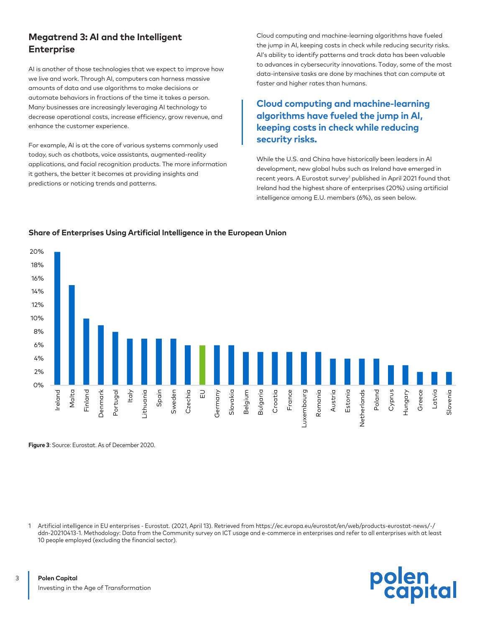### **Megatrend 3: AI and the Intelligent Enterprise**

AI is another of those technologies that we expect to improve how we live and work. Through AI, computers can harness massive amounts of data and use algorithms to make decisions or automate behaviors in fractions of the time it takes a person. Many businesses are increasingly leveraging AI technology to decrease operational costs, increase efficiency, grow revenue, and enhance the customer experience.

For example, AI is at the core of various systems commonly used today, such as chatbots, voice assistants, augmented-reality applications, and facial recognition products. The more information it gathers, the better it becomes at providing insights and predictions or noticing trends and patterns.

Cloud computing and machine-learning algorithms have fueled the jump in AI, keeping costs in check while reducing security risks. AI's ability to identify patterns and track data has been valuable to advances in cybersecurity innovations. Today, some of the most data-intensive tasks are done by machines that can compute at faster and higher rates than humans.

### **Cloud computing and machine-learning algorithms have fueled the jump in AI, keeping costs in check while reducing security risks.**

While the U.S. and China have historically been leaders in AI development, new global hubs such as Ireland have emerged in recent years. A Eurostat survey<sup>1</sup> published in April 2021 found that Ireland had the highest share of enterprises (20%) using artificial intelligence among E.U. members (6%), as seen below.

## **Share of Enterprises Using Artificial Intelligence in the European Union**

18% 16% 14% 12% 10% 8% 6%  $4%$ 2% 0% Spain Poland Cyprus Malta Jenmark Italy Slovakia Belgium Bulgaria Croatia France uxembourg Romania Austria Estonia letherlands Slovenia Ireland Finland Portugal ithuania Sweden Czechia EU Germany Hungary Greece Latvia Denmark Netherlands Lithuania Luxembourg Romania Slovenia

**Figure 3**: Source: Eurostat. As of December 2020.

20%

1 Artificial intelligence in EU enterprises - Eurostat. (2021, April 13). Retrieved from https://ec.europa.eu/eurostat/en/web/products-eurostat-news/-/ ddn-20210413-1. Methodology: Data from the Community survey on ICT usage and e-commerce in enterprises and refer to all enterprises with at least 10 people employed (excluding the financial sector).

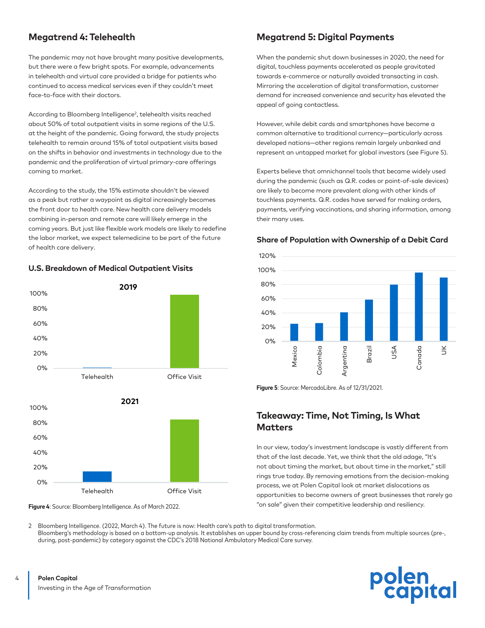### **Megatrend 4: Telehealth**

The pandemic may not have brought many positive developments, but there were a few bright spots. For example, advancements in telehealth and virtual care provided a bridge for patients who continued to access medical services even if they couldn't meet face-to-face with their doctors.

According to Bloomberg Intelligence<sup>2</sup>, telehealth visits reached about 50% of total outpatient visits in some regions of the U.S. at the height of the pandemic. Going forward, the study projects telehealth to remain around 15% of total outpatient visits based on the shifts in behavior and investments in technology due to the pandemic and the proliferation of virtual primary-care offerings coming to market.

According to the study, the 15% estimate shouldn't be viewed as a peak but rather a waypoint as digital increasingly becomes the front door to health care. New health care delivery models combining in-person and remote care will likely emerge in the coming years. But just like flexible work models are likely to redefine the labor market, we expect telemedicine to be part of the future of health care delivery.







**Figure 4**: Source: Bloomberg Intelligence. As of March 2022.

### **Megatrend 5: Digital Payments**

When the pandemic shut down businesses in 2020, the need for digital, touchless payments accelerated as people gravitated towards e-commerce or naturally avoided transacting in cash. Mirroring the acceleration of digital transformation, customer demand for increased convenience and security has elevated the appeal of going contactless.

However, while debit cards and smartphones have become a common alternative to traditional currency—particularly across developed nations—other regions remain largely unbanked and represent an untapped market for global investors (see Figure 5).

Experts believe that omnichannel tools that became widely used during the pandemic (such as Q.R. codes or point-of-sale devices) are likely to become more prevalent along with other kinds of touchless payments. Q.R. codes have served for making orders, payments, verifying vaccinations, and sharing information, among their many uses.

#### **Share of Population with Ownership of a Debit Card**



Figure 5: Source: MercadoLibre. As of 12/31/2021.

### **Takeaway: Time, Not Timing, Is What Matters**

In our view, today's investment landscape is vastly different from that of the last decade. Yet, we think that the old adage, "It's not about timing the market, but about time in the market," still rings true today. By removing emotions from the decision-making process, we at Polen Capital look at market dislocations as opportunities to become owners of great businesses that rarely go "on sale" given their competitive leadership and resiliency.

2 Bloomberg Intelligence. (2022, March 4). The future is now: Health care's path to digital transformation. Bloomberg's methodology is based on a bottom-up analysis. It establishes an upper bound by cross-referencing claim trends from multiple sources (pre-, during, post-pandemic) by category against the CDC's 2018 National Ambulatory Medical Care survey.